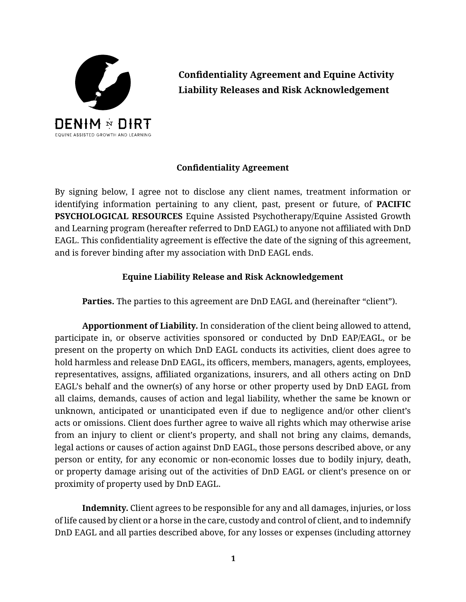

**Confidentiality Agreement and Equine Activity Liability Releases and Risk Acknowledgement**

## **Confidentiality Agreement**

By signing below, I agree not to disclose any client names, treatment information or identifying information pertaining to any client, past, present or future, of **PACIFIC PSYCHOLOGICAL RESOURCES** Equine Assisted Psychotherapy/Equine Assisted Growth and Learning program (hereafter referred to DnD EAGL) to anyone not affiliated with DnD EAGL. This confidentiality agreement is effective the date of the signing of this agreement, and is forever binding after my association with DnD EAGL ends.

## **Equine Liability Release and Risk Acknowledgement**

Parties. The parties to this agreement are DnD EAGL and (hereinafter "client").

**Apportionment of Liability.** In consideration of the client being allowed to attend, participate in, or observe activities sponsored or conducted by DnD EAP/EAGL, or be present on the property on which DnD EAGL conducts its activities, client does agree to hold harmless and release DnD EAGL, its officers, members, managers, agents, employees, representatives, assigns, affiliated organizations, insurers, and all others acting on DnD EAGL's behalf and the owner(s) of any horse or other property used by DnD EAGL from all claims, demands, causes of action and legal liability, whether the same be known or unknown, anticipated or unanticipated even if due to negligence and/or other client's acts or omissions. Client does further agree to waive all rights which may otherwise arise from an injury to client or client's property, and shall not bring any claims, demands, legal actions or causes of action against DnD EAGL, those persons described above, or any person or entity, for any economic or non-economic losses due to bodily injury, death, or property damage arising out of the activities of DnD EAGL or client's presence on or proximity of property used by DnD EAGL.

**Indemnity.** Client agrees to be responsible for any and all damages, injuries, or loss of life caused by client or a horse in the care, custody and control of client, and to indemnify DnD EAGL and all parties described above, for any losses or expenses (including attorney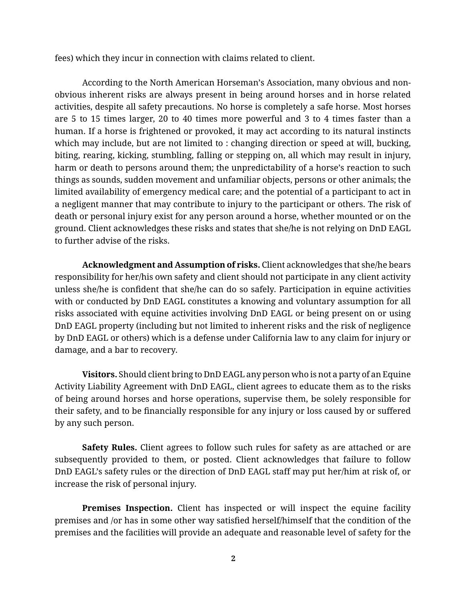fees) which they incur in connection with claims related to client.

According to the North American Horseman's Association, many obvious and nonobvious inherent risks are always present in being around horses and in horse related activities, despite all safety precautions. No horse is completely a safe horse. Most horses are 5 to 15 times larger, 20 to 40 times more powerful and 3 to 4 times faster than a human. If a horse is frightened or provoked, it may act according to its natural instincts which may include, but are not limited to : changing direction or speed at will, bucking, biting, rearing, kicking, stumbling, falling or stepping on, all which may result in injury, harm or death to persons around them; the unpredictability of a horse's reaction to such things as sounds, sudden movement and unfamiliar objects, persons or other animals; the limited availability of emergency medical care; and the potential of a participant to act in a negligent manner that may contribute to injury to the participant or others. The risk of death or personal injury exist for any person around a horse, whether mounted or on the ground. Client acknowledges these risks and states that she/he is not relying on DnD EAGL to further advise of the risks.

**Acknowledgment and Assumption of risks.** Client acknowledges that she/he bears responsibility for her/his own safety and client should not participate in any client activity unless she/he is confident that she/he can do so safely. Participation in equine activities with or conducted by DnD EAGL constitutes a knowing and voluntary assumption for all risks associated with equine activities involving DnD EAGL or being present on or using DnD EAGL property (including but not limited to inherent risks and the risk of negligence by DnD EAGL or others) which is a defense under California law to any claim for injury or damage, and a bar to recovery.

**Visitors.** Should client bring to DnD EAGL any person who is not a party of an Equine Activity Liability Agreement with DnD EAGL, client agrees to educate them as to the risks of being around horses and horse operations, supervise them, be solely responsible for their safety, and to be financially responsible for any injury or loss caused by or suffered by any such person.

**Safety Rules.** Client agrees to follow such rules for safety as are attached or are subsequently provided to them, or posted. Client acknowledges that failure to follow DnD EAGL's safety rules or the direction of DnD EAGL staff may put her/him at risk of, or increase the risk of personal injury.

**Premises Inspection.** Client has inspected or will inspect the equine facility premises and /or has in some other way satisfied herself/himself that the condition of the premises and the facilities will provide an adequate and reasonable level of safety for the